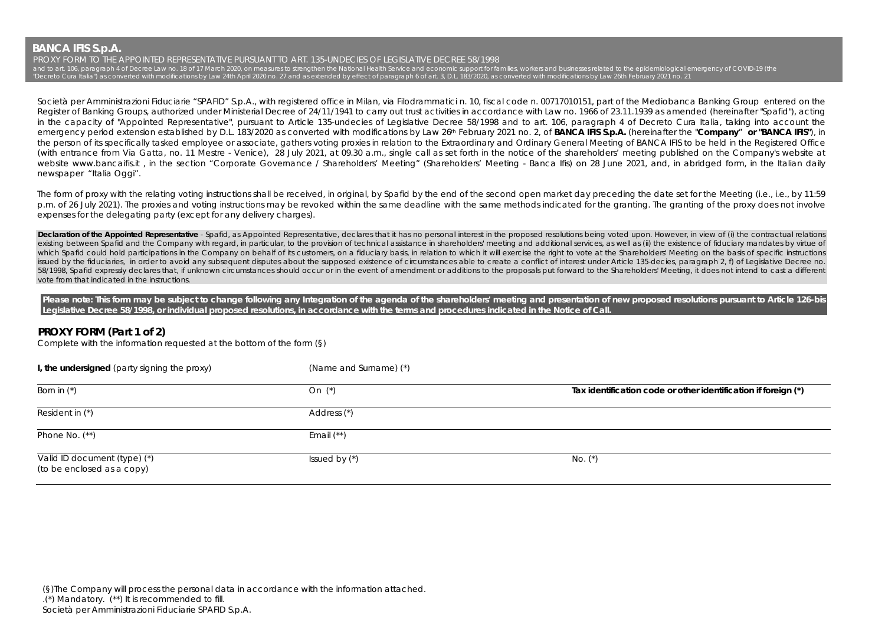**BANCA IFIS S.p.A.** 

PROXY FORM TO THE APPOINTED REPRESENTATIVE PURSUANT TO ART. 135-UNDECIES OF LEGISLATIVE DECREE 58/1998 and to art. 106, paragraph 4 of Decree Law no. 18 of 17 March 2020, on measures to strengthen the National Health Service and economic support for families, workers and businesses related to the epidemiological emergency o "Decreto Cura Italia") as converted with modifications by Law 24th April 2020 no. 27 and as extended by effect of paragraph 6 of art. 3, D.L. 183/2020, as converted with modifications by Law 26th February 2021 no. 21

Società per Amministrazioni Fiduciarie "SPAFID" S.p.A., with registered office in Milan, via Filodrammatici n. 10, fiscal code n. 00717010151, part of the Mediobanca Banking Group entered on the Register of Banking Groups, authorized under Ministerial Decree of 24/11/1941 to carry out trust activities in accordance with Law no. 1966 of 23.11.1939 as amended (hereinafter "Spafid"), acting in the capacity of "Appointed Representative", pursuant to Article 135-undecies of Legislative Decree 58/1998 and to art. 106, paragraph 4 of Decreto Cura Italia, taking into account the emergency period extension established by D.L. 183/2020 as converted with modifications by Law 26th February 2021 no. 2, of **BANCA IFIS S.p.A.** (hereinafter the "**Company**" **or "BANCA IFIS"**), in the person of its specifically tasked employee or associate, gathers voting proxies in relation to the Extraordinary and Ordinary General Meeting of BANCA IFIS to be held in the Registered Office (with entrance from Via Gatta, no. 11 Mestre - Venice), 28 July 2021, at 09.30 a.m., single call as set forth in the notice of the shareholders' meeting published on the Company's website at website www.bancaifis.it, in the section "Corporate Governance / Shareholders' Meeting" (Shareholders' Meeting - Banca Ifis) on 28 June 2021, and, in abridged form, in the Italian daily newspaper "Italia Oggi".

The form of proxy with the relating voting instructions shall be received, in original, by Spafid by the end of the second open market day preceding the date set for the Meeting (i.e., i.e., by 11:59 p.m. of 26 July 2021). The proxies and voting instructions may be revoked within the same deadline with the same methods indicated for the granting. The granting of the proxy does not involve expenses for the delegating party (except for any delivery charges).

Declaration of the Appointed Representative - Spafid, as Appointed Representative, declares that it has no personal interest in the proposed resolutions being voted upon. However, in view of (i) the contractual relations existing between Spafid and the Company with regard, in particular, to the provision of technical assistance in shareholders' meeting and additional services, as well as (ii) the existence of fiduciary mandates by virtue o which Spafid could hold participations in the Company on behalf of its customers, on a fiduciary basis, in relation to which it will exercise the right to vote at the Shareholders' Meeting on the basis of specific instruct issued by the fiduciaries, in order to avoid any subsequent disputes about the supposed existence of circumstances able to create a conflict of interest under Article 135-decies, paragraph 2, f) of Legislative Decree no. 58/1998, Spafid expressly declares that, if unknown circumstances should occur or in the event of amendment or additions to the proposals put forward to the Shareholders' Meeting, it does not intend to cast a different vote from that indicated in the instructions.

Please note: This form may be subject to change following any Integration of the agenda of the shareholders' meeting and presentation of new proposed resolutions pursuant to Article 126-bis **Legislative Decree 58/1998, or individual proposed resolutions, in accordance with the terms and procedures indicated in the Notice of Call.** 

## **PROXY FORM (Part 1 of 2)**

Complete with the information requested at the bottom of the form (§)

| I, the undersigned (party signing the proxy)               | (Name and Surname) (*) |                                                                |
|------------------------------------------------------------|------------------------|----------------------------------------------------------------|
| Born in $(*)$                                              | On (*)                 | Tax identification code or other identification if foreign (*) |
| Resident in (*)                                            | Address (*)            |                                                                |
| Phone No. $(**)$                                           | Email $(**)$           |                                                                |
| Valid ID document (type) (*)<br>(to be enclosed as a copy) | Issued by $(*)$        | $No.$ $(*)$                                                    |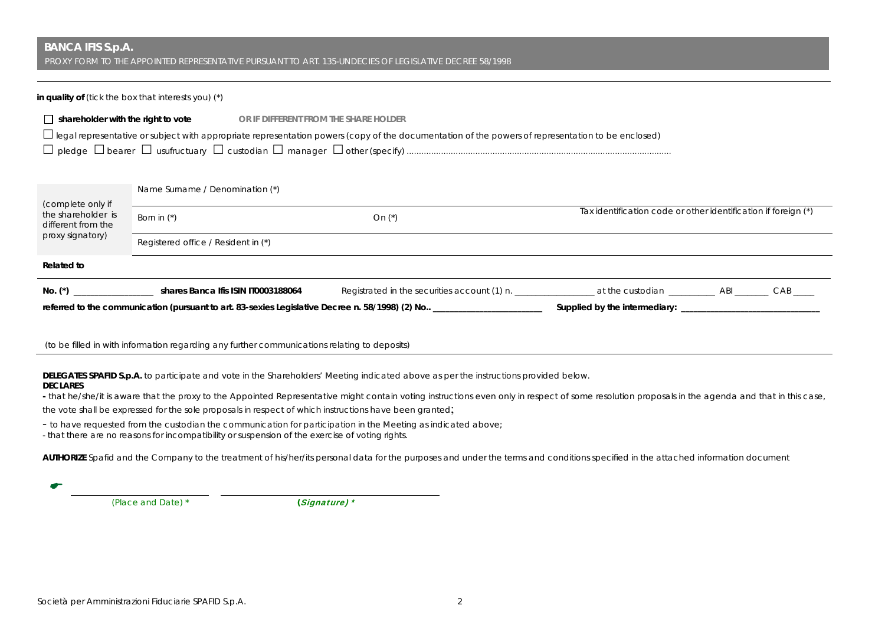# **BANCA IFIS S.p.A.**

PROXY FORM TO THE APPOINTED REPRESENTATIVE PURSUANT TO ART. 135-UNDECIES OF LEGISLATIVE DECREE 58/1998

### **in quality of** (*tick the box that interests you*) (\*)

| $\Box$ shareholder with the right to vote                                                                                                                |                                     | or if different from the share holder |          |  |                                                                |  |  |
|----------------------------------------------------------------------------------------------------------------------------------------------------------|-------------------------------------|---------------------------------------|----------|--|----------------------------------------------------------------|--|--|
| $\Box$ legal representative or subject with appropriate representation powers (copy of the documentation of the powers of representation to be enclosed) |                                     |                                       |          |  |                                                                |  |  |
|                                                                                                                                                          |                                     |                                       |          |  |                                                                |  |  |
|                                                                                                                                                          |                                     |                                       |          |  |                                                                |  |  |
|                                                                                                                                                          | Name Surname / Denomination (*)     |                                       |          |  |                                                                |  |  |
| (complete only if<br>the shareholder is<br>different from the                                                                                            | Born in $(*)$                       |                                       | On $(*)$ |  | Tax identification code or other identification if foreign (*) |  |  |
| proxy signatory)<br>Registered office / Resident in (*)                                                                                                  |                                     |                                       |          |  |                                                                |  |  |
| <b>Related to</b>                                                                                                                                        |                                     |                                       |          |  |                                                                |  |  |
| $No.$ $(*)$                                                                                                                                              | shares Banca Ifis ISIN IT0003188064 |                                       |          |  |                                                                |  |  |
|                                                                                                                                                          |                                     |                                       |          |  |                                                                |  |  |
|                                                                                                                                                          |                                     |                                       |          |  |                                                                |  |  |

(to be filled in with information regarding any further communications relating to deposits)

**DELEGATES SPAFID S.p.A.** to participate and vote in the Shareholders' Meeting indicated above as per the instructions provided below.

## **DECLARES**

**-** that he/she/it is aware that the proxy to the Appointed Representative might contain voting instructions even only in respect of some resolution proposals in the agenda and that in this case,

the vote shall be expressed for the sole proposals in respect of which instructions have been granted;

- to have requested from the custodian the communication for participation in the Meeting as indicated above;

- that there are no reasons for incompatibility or suspension of the exercise of voting rights.

AUTHORIZE Spafid and the Company to the treatment of his/her/its personal data for the purposes and under the terms and conditions specified in the attached information document

▰

 *(Place and Date) \* (*Signature) \*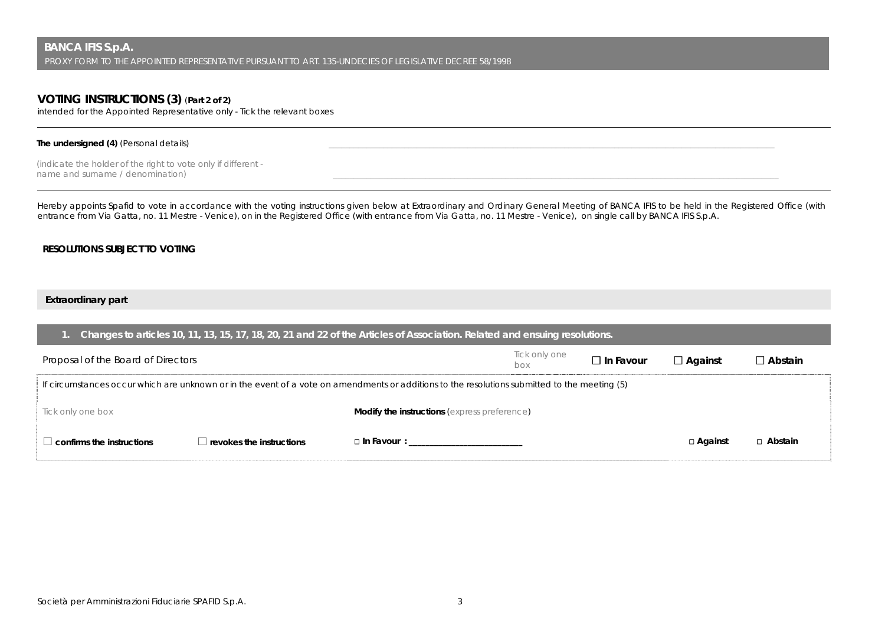# **VOTING INSTRUCTIONS (3)** (**Part 2 of 2)**

intended for the Appointed Representative only - Tick the relevant boxes

## The undersigned (4) (Personal details)

*(indicate the holder of the right to vote only if different*   $n$ ame and surname / denomination)

Hereby appoints Spafid to vote in accordance with the voting instructions given below at Extraordinary and Ordinary General Meeting of BANCA IFIS to be held in the Registered Office (with entrance from Via Gatta, no. 11 Mestre - Venice), on in the Registered Office (with entrance from Via Gatta, no. 11 Mestre - Venice), on single call by BANCA IFIS S.p.A.

## **RESOLUTIONS SUBJECT TO VOTING**

## **Extraordinary part**

| Changes to articles 10, 11, 13, 15, 17, 18, 20, 21 and 22 of the Articles of Association. Related and ensuing resolutions.                    |                                 |                                                     |                      |                  |                |                |
|-----------------------------------------------------------------------------------------------------------------------------------------------|---------------------------------|-----------------------------------------------------|----------------------|------------------|----------------|----------------|
| Proposal of the Board of Directors                                                                                                            |                                 |                                                     | Tick only one<br>hox | $\Box$ In Favour | $\Box$ Against | $\Box$ Abstain |
| If circumstances occur which are unknown or in the event of a vote on amendments or additions to the resolutions submitted to the meeting (5) |                                 |                                                     |                      |                  |                |                |
| Tick only one box                                                                                                                             |                                 | <b>Modify the instructions (express preference)</b> |                      |                  |                |                |
| $\perp$ confirms the instructions                                                                                                             | $\Box$ revokes the instructions | □ In Favour : <u>__________________</u>             |                      |                  | □ Against      | □ Abstain      |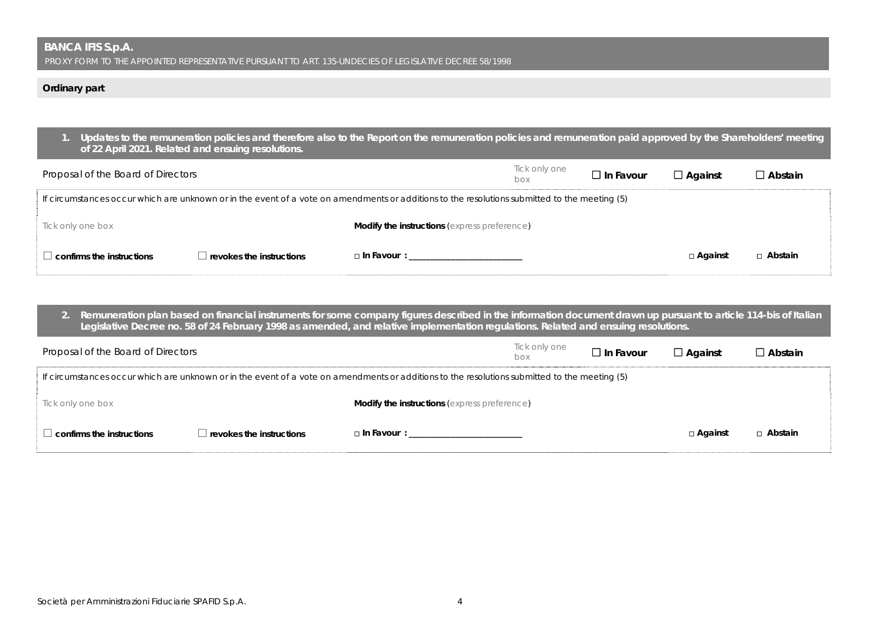## **Ordinary part**

|                                    | Updates to the remuneration policies and therefore also to the Report on the remuneration policies and remuneration paid approved by the Shareholders' meeting<br>of 22 April 2021. Related and ensuing resolutions. |                                                     |                      |                     |                |                |  |
|------------------------------------|----------------------------------------------------------------------------------------------------------------------------------------------------------------------------------------------------------------------|-----------------------------------------------------|----------------------|---------------------|----------------|----------------|--|
| Proposal of the Board of Directors |                                                                                                                                                                                                                      |                                                     | Tick only one<br>hox | $\square$ In Favour | $\Box$ Against | $\Box$ Abstain |  |
|                                    | If circumstances occur which are unknown or in the event of a vote on amendments or additions to the resolutions submitted to the meeting (5)                                                                        |                                                     |                      |                     |                |                |  |
| Tick only one box                  |                                                                                                                                                                                                                      | <b>Modify the instructions</b> (express preference) |                      |                     |                |                |  |
| $\Box$ confirms the instructions   | $\blacksquare$ revokes the instructions                                                                                                                                                                              | $\Box$ In Favour :                                  |                      |                     | □ Against      | □ Abstain      |  |

**2. Remuneration plan based on financial instruments for some company figures described in the information document drawn up pursuant to article 114-bis of Italian Legislative Decree no. 58 of 24 February 1998 as amended, and relative implementation regulations. Related and ensuing resolutions.** 

| Proposal of the Board of Directors                                                                                                            |                                 |                                                     | Tick only one<br>box | $\Box$ In Favour | $\Box$ Against | $\Box$ Abstain |
|-----------------------------------------------------------------------------------------------------------------------------------------------|---------------------------------|-----------------------------------------------------|----------------------|------------------|----------------|----------------|
| If circumstances occur which are unknown or in the event of a vote on amendments or additions to the resolutions submitted to the meeting (5) |                                 |                                                     |                      |                  |                |                |
| Tick only one box                                                                                                                             |                                 | <b>Modify the instructions (express preference)</b> |                      |                  |                |                |
| $\perp$ confirms the instructions                                                                                                             | $\Box$ revokes the instructions | □ In Favour : ___________________________           |                      |                  | $\Box$ Against | □ Abstain      |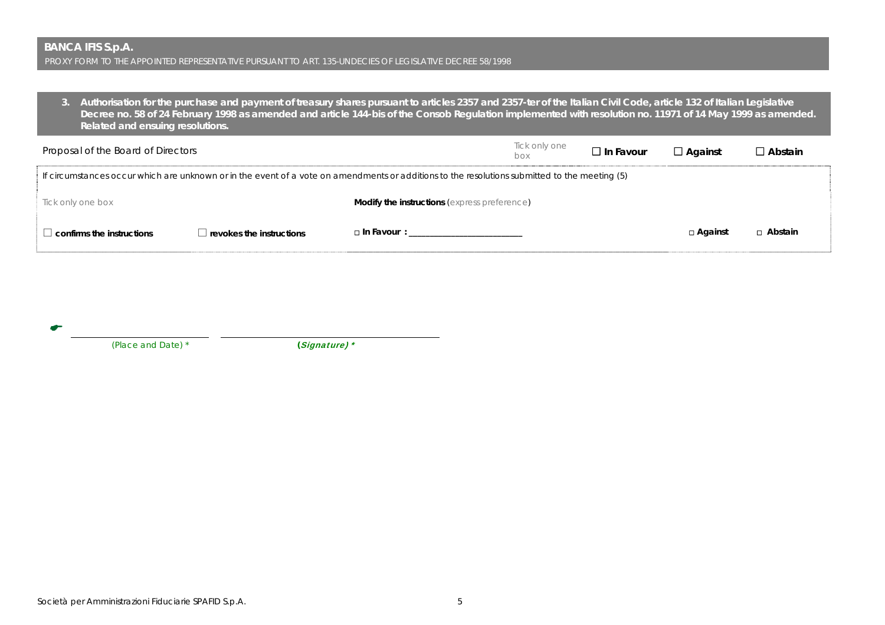**3. Authorisation for the purchase and payment of treasury shares pursuant to articles 2357 and 2357-ter of the Italian Civil Code, article 132 of Italian Legislative Decree no. 58 of 24 February 1998 as amended and article 144-bis of the Consob Regulation implemented with resolution no. 11971 of 14 May 1999 as amended. Related and ensuing resolutions.** 

| Proposal of the Board of Directors                                                                                                            |                          |                                                                                                                                                                                                                               | Tick only one<br>box | $\Box$ In Favour | $\Box$ Against | $\Box$ Abstain |
|-----------------------------------------------------------------------------------------------------------------------------------------------|--------------------------|-------------------------------------------------------------------------------------------------------------------------------------------------------------------------------------------------------------------------------|----------------------|------------------|----------------|----------------|
| If circumstances occur which are unknown or in the event of a vote on amendments or additions to the resolutions submitted to the meeting (5) |                          |                                                                                                                                                                                                                               |                      |                  |                |                |
| Tick only one box                                                                                                                             |                          | <b>Modify the instructions</b> (express preference)                                                                                                                                                                           |                      |                  |                |                |
| confirms the instructions                                                                                                                     | revokes the instructions | □ In Favour : The Service of Service of Service of Service of Service of Service of Service of Service of Service of Service of Service of Service of Service of Service of Service of Service of Service of Service of Servi |                      |                  | $\Box$ Against | $\Box$ Abstain |

|               | __ |  |
|---------------|----|--|
| ۰,<br>×<br>۰. |    |  |
|               |    |  |

 *(Place and Date) \* (*Signature) \*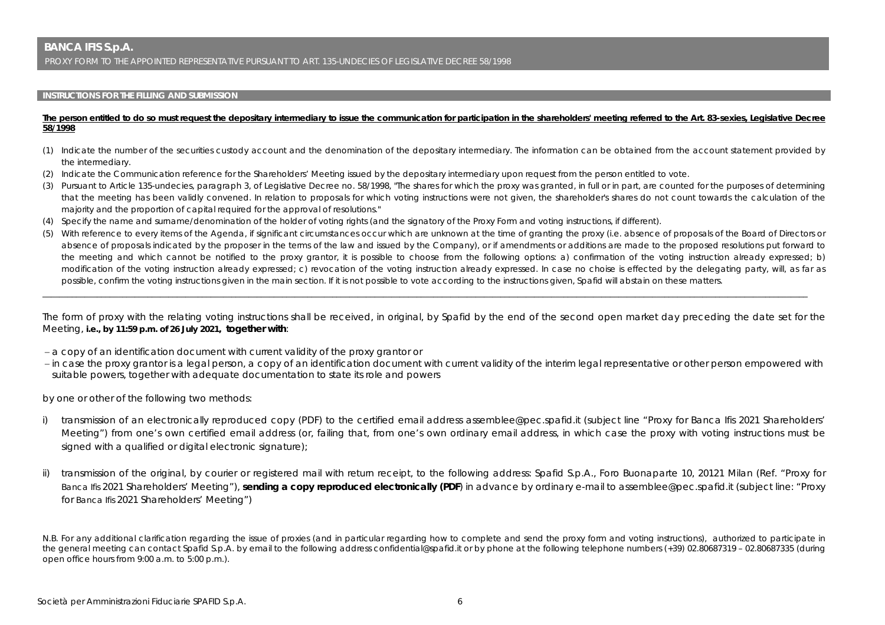#### **INSTRUCTIONS FOR THE FILLING AND SUBMISSION**

#### The person entitled to do so must request the depositary intermediary to issue the communication for participation in the shareholders' meeting referred to the Art. 83-sexies, Legislative Decree **58/1998**

- (1) Indicate the number of the securities custody account and the denomination of the depositary intermediary. The information can be obtained from the account statement provided by the intermediary.
- (2) Indicate the Communication reference for the Shareholders' Meeting issued by the depositary intermediary upon request from the person entitled to vote.
- (3) Pursuant to Article 135-undecies, paragraph 3, of Legislative Decree no. 58/1998, "The shares for which the proxy was granted, in full or in part, are counted for the purposes of determining that the meeting has been validly convened. In relation to proposals for which voting instructions were not given, the shareholder's shares do not count towards the calculation of the majority and the proportion of capital required for the approval of resolutions."
- (4) Specify the name and surname/denomination of the holder of voting rights (and the signatory of the Proxy Form and voting instructions, if different).
- (5) With reference to every items of the Agenda, if significant circumstances occur which are unknown at the time of granting the proxy (i.e. absence of proposals of the Board of Directors or absence of proposals indicated by the proposer in the terms of the law and issued by the Company), or if amendments or additions are made to the proposed resolutions put forward to the meeting and which cannot be notified to the proxy grantor, it is possible to choose from the following options: a) confirmation of the voting instruction already expressed; b) modification of the voting instruction already expressed; c) revocation of the voting instruction already expressed. In case no choise is effected by the delegating party, will, as far as possible, confirm the voting instructions given in the main section. If it is not possible to vote according to the instructions given, Spafid will abstain on these matters.

The form of proxy with the relating voting instructions shall be received, in original, by Spafid by the end of the second open market day preceding the date set for the Meeting, **i.e., by 11:59 p.m. of 26 July 2021, together with**:

\_\_\_\_\_\_\_\_\_\_\_\_\_\_\_\_\_\_\_\_\_\_\_\_\_\_\_\_\_\_\_\_\_\_\_\_\_\_\_\_\_\_\_\_\_\_\_\_\_\_\_\_\_\_\_\_\_\_\_\_\_\_\_\_\_\_\_\_\_\_\_\_\_\_\_\_\_\_\_\_\_\_\_\_\_\_\_\_\_\_\_\_\_\_\_\_\_\_\_\_\_\_\_\_\_\_\_\_\_\_\_\_\_\_\_\_\_\_\_\_\_\_\_\_\_\_\_\_\_\_\_\_\_\_\_\_\_\_\_\_\_\_\_\_\_\_\_\_\_\_\_\_\_\_\_\_\_\_\_\_\_\_\_\_\_\_\_\_\_\_\_\_\_\_\_\_\_\_\_\_\_\_

- a copy of an identification document with current validity of the proxy grantor or
- in case the proxy grantor is a legal person, a copy of an identification document with current validity of the interim legal representative or other person empowered with suitable powers, together with adequate documentation to state its role and powers

by one or other of the following two methods:

- i) transmission of an electronically reproduced copy (PDF) to the certified email address assemblee@pec.spafid.it (subject line "Proxy for Banca Ifis 2021 Shareholders' Meeting") from one's own certified email address (or, failing that, from one's own ordinary email address, in which case the proxy with voting instructions must be signed with a qualified or digital electronic signature);
- ii) transmission of the original, by courier or registered mail with return receipt, to the following address: Spafid S.p.A., Foro Buonaparte 10, 20121 Milan (Ref. "Proxy for Banca Ifis 2021 Shareholders' Meeting"), **sending a copy reproduced electronically (PDF**) in advance by ordinary e-mail to assemblee@pec.spafid.it (subject line: "Proxy for Banca Ifis 2021 Shareholders' Meeting")

N.B. For any additional clarification regarding the issue of proxies (and in particular regarding how to complete and send the proxy form and voting instructions), authorized to participate in the general meeting can contact Spafid S.p.A. by email to the following address confidential@spafid.it or by phone at the following telephone numbers (+39) 02.80687319 – 02.80687335 (during open office hours from 9:00 a.m. to 5:00 p.m.).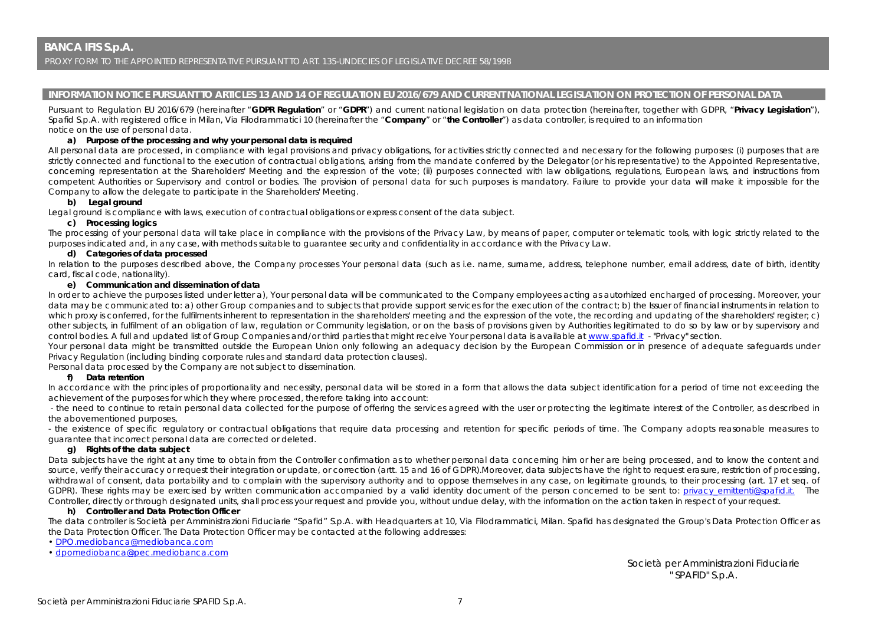### **INFORMATION NOTICE PURSUANT TO ARTICLES 13 AND 14 OF REGULATION EU 2016/679 AND CURRENT NATIONAL LEGISLATION ON PROTECTION OF PERSONAL DATA**

Pursuant to Regulation EU 2016/679 (hereinafter "**GDPR Regulation**" or "**GDPR**") and current national legislation on data protection (hereinafter, together with GDPR, "**Privacy Legislation**"), Spafid S.p.A. with registered office in Milan, Via Filodrammatici 10 (hereinafter the "**Company**" or "**the Controller**") as data controller, is required to an information notice on the use of personal data.

#### **a) Purpose of the processing and why your personal data is required**

All personal data are processed, in compliance with legal provisions and privacy obligations, for activities strictly connected and necessary for the following purposes: (i) purposes that are strictly connected and functional to the execution of contractual obligations, arising from the mandate conferred by the Delegator (or his representative) to the Appointed Representative, concerning representation at the Shareholders' Meeting and the expression of the vote; (ii) purposes connected with law obligations, regulations, European laws, and instructions from competent Authorities or Supervisory and control or bodies. The provision of personal data for such purposes is mandatory. Failure to provide your data will make it impossible for the Company to allow the delegate to participate in the Shareholders' Meeting.

### **b) Legal ground**

Legal ground is compliance with laws, execution of contractual obligations or express consent of the data subject.

#### **c) Processing logics**

The processing of your personal data will take place in compliance with the provisions of the Privacy Law, by means of paper, computer or telematic tools, with logic strictly related to the purposes indicated and, in any case, with methods suitable to guarantee security and confidentiality in accordance with the Privacy Law.

#### **d) Categories of data processed**

In relation to the purposes described above, the Company processes Your personal data (such as i.e. name, surname, address, telephone number, email address, date of birth, identity card, fiscal code, nationality).

#### **e) Communication and dissemination of data**

In order to achieve the purposes listed under letter a), Your personal data will be communicated to the Company employees acting as autorhized encharged of processing. Moreover, your data may be communicated to: a) other Group companies and to subjects that provide support services for the execution of the contract; b) the Issuer of financial instruments in relation to which proxy is conferred, for the fulfilments inherent to representation in the shareholders' meeting and the expression of the vote, the recording and updating of the shareholders' register; c) other subjects, in fulfilment of an obligation of law, regulation or Community legislation, or on the basis of provisions given by Authorities legitimated to do so by law or by supervisory and control bodies. A full and updated list of Group Companies and/or third parties that might receive Your personal data is available at www.spafid.it - "Privacy" section.

Your personal data might be transmitted outside the European Union only following an adequacy decision by the European Commission or in presence of adequate safeguards under Privacy Regulation (including binding corporate rules and standard data protection clauses).

Personal data processed by the Company are not subject to dissemination.

#### **f) Data retention**

In accordance with the principles of proportionality and necessity, personal data will be stored in a form that allows the data subject identification for a period of time not exceeding the achievement of the purposes for which they where processed, therefore taking into account:

 - the need to continue to retain personal data collected for the purpose of offering the services agreed with the user or protecting the legitimate interest of the Controller, as described in the abovementioned purposes,

- the existence of specific regulatory or contractual obligations that require data processing and retention for specific periods of time. The Company adopts reasonable measures to guarantee that incorrect personal data are corrected or deleted.

#### **g) Rights of the data subject**

Data subjects have the right at any time to obtain from the Controller confirmation as to whether personal data concerning him or her are being processed, and to know the content and source, verify their accuracy or request their integration or update, or correction (artt. 15 and 16 of GDPR).Moreover, data subjects have the right to request erasure, restriction of processing, withdrawal of consent, data portability and to complain with the supervisory authority and to oppose themselves in any case, on legitimate grounds, to their processing (art. 17 et seg. of GDPR). These rights may be exercised by written communication accompanied by a valid identity document of the person concerned to be sent to: privacy emittenti@spafid.it. The Controller, directly or through designated units, shall process your request and provide you, without undue delay, with the information on the action taken in respect of your request.

#### **h) Controller and Data Protection Officer**

The data controller is Società per Amministrazioni Fiduciarie "Spafid" S.p.A. with Headquarters at 10, Via Filodrammatici, Milan. Spafid has designated the Group's Data Protection Officer as the Data Protection Officer. The Data Protection Officer may be contacted at the following addresses:

- DPO.mediobanca@mediobanca.com
- dpomediobanca@pec.mediobanca.com

 Società per Amministrazioni Fiduciarie " SPAFID" S.p.A.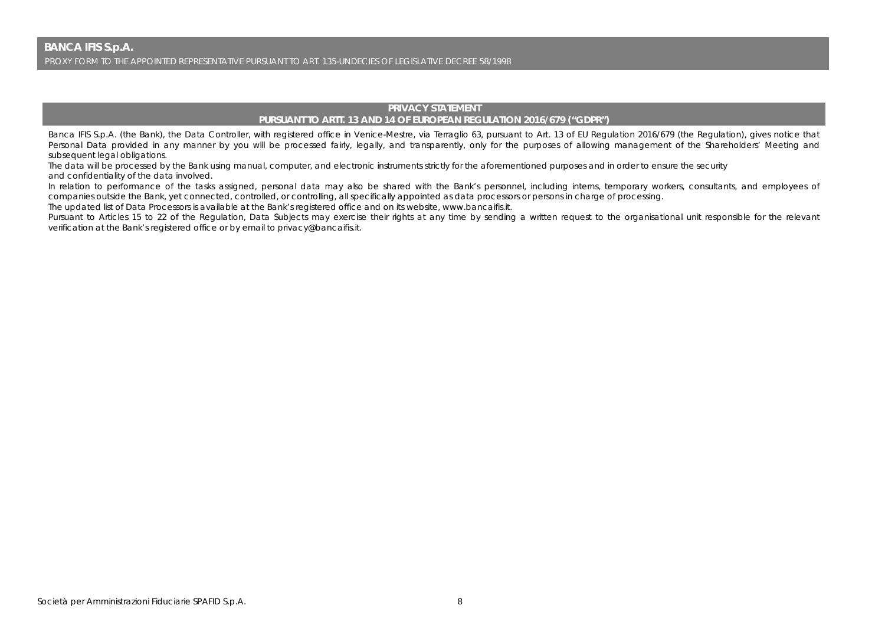## **PRIVACY STATEMENT PURSUANT TO ARTT. 13 AND 14 OF EUROPEAN REGULATION 2016/679 ("GDPR")**

Banca IFIS S.p.A. (the Bank), the Data Controller, with registered office in Venice-Mestre, via Terraglio 63, pursuant to Art. 13 of EU Regulation 2016/679 (the Regulation), gives notice that Personal Data provided in any manner by you will be processed fairly, legally, and transparently, only for the purposes of allowing management of the Shareholders' Meeting and subsequent legal obligations.

The data will be processed by the Bank using manual, computer, and electronic instruments strictly for the aforementioned purposes and in order to ensure the security and confidentiality of the data involved.

In relation to performance of the tasks assigned, personal data may also be shared with the Bank's personnel, including interns, temporary workers, consultants, and employees of companies outside the Bank, yet connected, controlled, or controlling, all specifically appointed as data processors or persons in charge of processing.

The updated list of Data Processors is available at the Bank's registered office and on its website, www.bancaifis.it.

Pursuant to Articles 15 to 22 of the Regulation, Data Subjects may exercise their rights at any time by sending a written request to the organisational unit responsible for the relevant verification at the Bank's registered office or by email to privacy@bancaifis.it.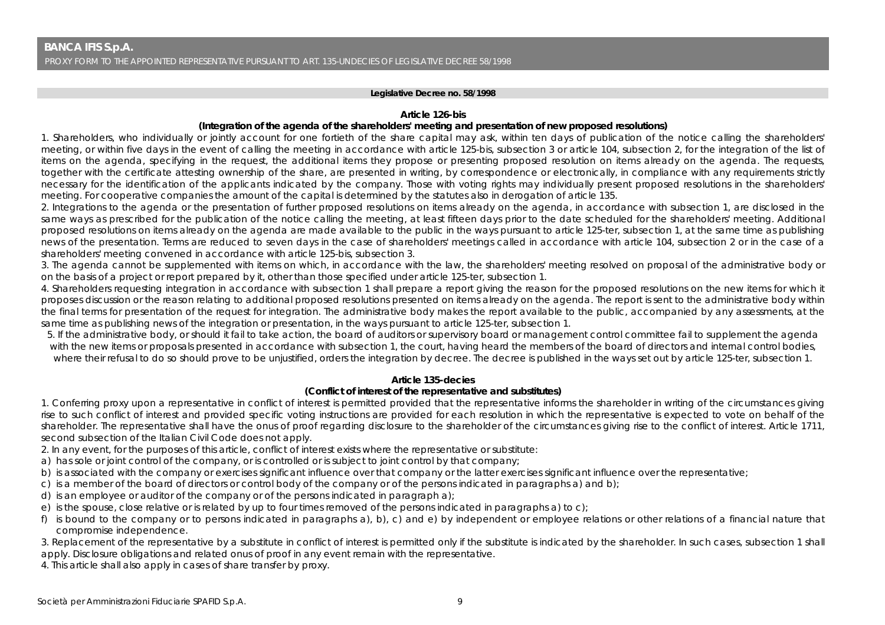#### **Legislative Decree no. 58/1998**

#### **Article 126-***bis*

### **(Integration of the agenda of the shareholders' meeting and presentation of new proposed resolutions)**

1. Shareholders, who individually or jointly account for one fortieth of the share capital may ask, within ten days of publication of the notice calling the shareholders' meeting, or within five days in the event of calling the meeting in accordance with article 125-bis, subsection 3 or article 104, subsection 2, for the integration of the list of items on the agenda, specifying in the request, the additional items they propose or presenting proposed resolution on items already on the agenda. The requests, together with the certificate attesting ownership of the share, are presented in writing, by correspondence or electronically, in compliance with any requirements strictly necessary for the identification of the applicants indicated by the company. Those with voting rights may individually present proposed resolutions in the shareholders' meeting. For cooperative companies the amount of the capital is determined by the statutes also in derogation of article 135.

2. Integrations to the agenda or the presentation of further proposed resolutions on items already on the agenda, in accordance with subsection 1, are disclosed in the same ways as prescribed for the publication of the notice calling the meeting, at least fifteen days prior to the date scheduled for the shareholders' meeting. Additional proposed resolutions on items already on the agenda are made available to the public in the ways pursuant to article 125-ter, subsection 1, at the same time as publishing news of the presentation. Terms are reduced to seven days in the case of shareholders' meetings called in accordance with article 104, subsection 2 or in the case of a shareholders' meeting convened in accordance with article 125-bis, subsection 3.

3. The agenda cannot be supplemented with items on which, in accordance with the law, the shareholders' meeting resolved on proposal of the administrative body or on the basis of a project or report prepared by it, other than those specified under article 125-ter, subsection 1.

4. Shareholders requesting integration in accordance with subsection 1 shall prepare a report giving the reason for the proposed resolutions on the new items for which it proposes discussion or the reason relating to additional proposed resolutions presented on items already on the agenda. The report is sent to the administrative body within the final terms for presentation of the request for integration. The administrative body makes the report available to the public, accompanied by any assessments, at the same time as publishing news of the integration or presentation, in the ways pursuant to article 125-ter, subsection 1.

5. If the administrative body, or should it fail to take action, the board of auditors or supervisory board or management control committee fail to supplement the agenda with the new items or proposals presented in accordance with subsection 1, the court, having heard the members of the board of directors and internal control bodies, where their refusal to do so should prove to be unjustified, orders the integration by decree. The decree is published in the ways set out by article 125-ter, subsection 1.

## **Article 135-***decies*

## **(Conflict of interest of the representative and substitutes)**

1. Conferring proxy upon a representative in conflict of interest is permitted provided that the representative informs the shareholder in writing of the circumstances giving rise to such conflict of interest and provided specific voting instructions are provided for each resolution in which the representative is expected to vote on behalf of the shareholder. The representative shall have the onus of proof regarding disclosure to the shareholder of the circumstances giving rise to the conflict of interest. Article 1711, second subsection of the Italian Civil Code does not apply.

2. In any event, for the purposes of this article, conflict of interest exists where the representative or substitute:

- a) has sole or joint control of the company, or is controlled or is subject to joint control by that company;
- b) is associated with the company or exercises significant influence over that company or the latter exercises significant influence over the representative;
- c) is a member of the board of directors or control body of the company or of the persons indicated in paragraphs a) and b);
- d) is an employee or auditor of the company or of the persons indicated in paragraph a);
- e) is the spouse, close relative or is related by up to four times removed of the persons indicated in paragraphs a) to c);
- f) is bound to the company or to persons indicated in paragraphs a), b), c) and e) by independent or employee relations or other relations of a financial nature that compromise independence.

3. Replacement of the representative by a substitute in conflict of interest is permitted only if the substitute is indicated by the shareholder. In such cases, subsection 1 shall apply. Disclosure obligations and related onus of proof in any event remain with the representative.

4. This article shall also apply in cases of share transfer by proxy.